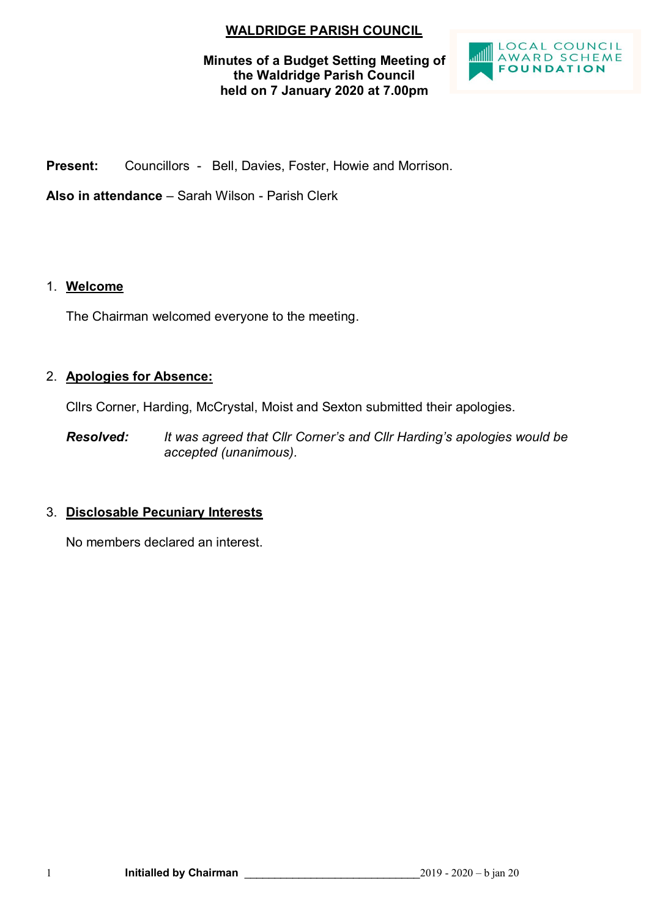# **WALDRIDGE PARISH COUNCIL**

### **Minutes of a Budget Setting Meeting of the Waldridge Parish Council held on 7 January 2020 at 7.00pm**



**Present:** Councillors - Bell, Davies, Foster, Howie and Morrison.

**Also in attendance** – Sarah Wilson - Parish Clerk

### 1. **Welcome**

The Chairman welcomed everyone to the meeting.

# 2. **Apologies for Absence:**

Cllrs Corner, Harding, McCrystal, Moist and Sexton submitted their apologies.

*Resolved: It was agreed that Cllr Corner's and Cllr Harding's apologies would be accepted (unanimous).*

# 3. **Disclosable Pecuniary Interests**

No members declared an interest.